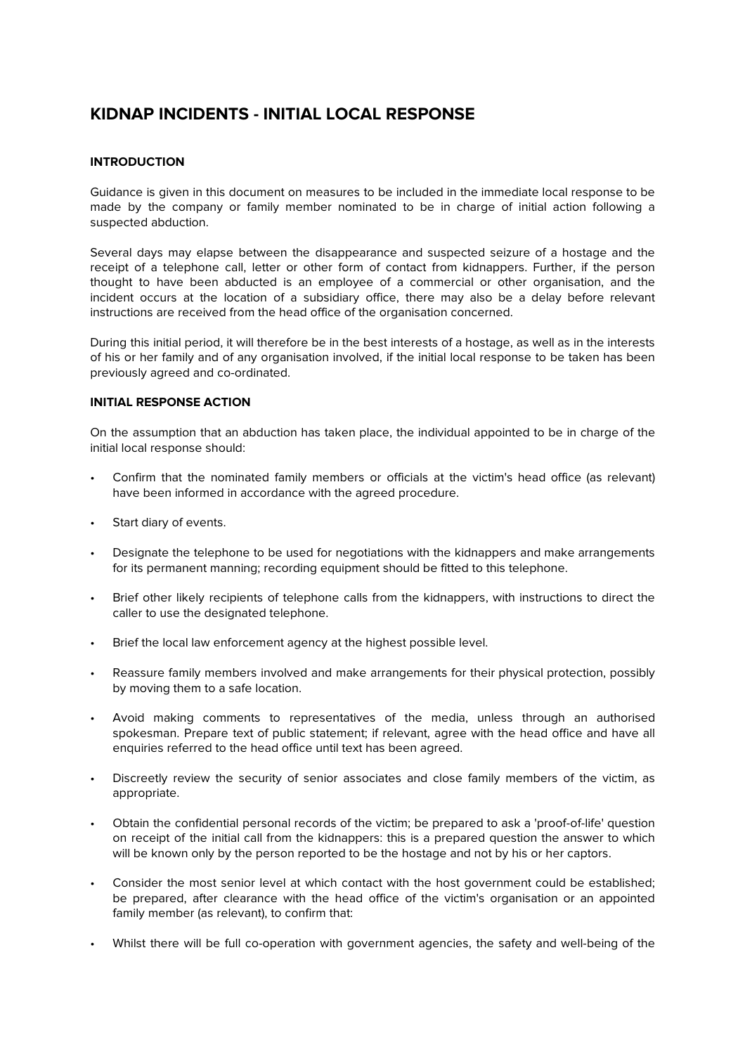## **KIDNAP INCIDENTS - INITIAL LOCAL RESPONSE**

## **INTRODUCTION**

Guidance is given in this document on measures to be included in the immediate local response to be made by the company or family member nominated to be in charge of initial action following a suspected abduction.

Several days may elapse between the disappearance and suspected seizure of a hostage and the receipt of a telephone call, letter or other form of contact from kidnappers. Further, if the person thought to have been abducted is an employee of a commercial or other organisation, and the incident occurs at the location of a subsidiary office, there may also be a delay before relevant instructions are received from the head office of the organisation concerned.

During this initial period, it will therefore be in the best interests of a hostage, as well as in the interests of his or her family and of any organisation involved, if the initial local response to be taken has been previously agreed and co-ordinated.

## **INITIAL RESPONSE ACTION**

On the assumption that an abduction has taken place, the individual appointed to be in charge of the initial local response should:

- Confirm that the nominated family members or officials at the victim's head office (as relevant) have been informed in accordance with the agreed procedure.
- Start diary of events.
- Designate the telephone to be used for negotiations with the kidnappers and make arrangements for its permanent manning; recording equipment should be fitted to this telephone.
- Brief other likely recipients of telephone calls from the kidnappers, with instructions to direct the caller to use the designated telephone.
- Brief the local law enforcement agency at the highest possible level.
- Reassure family members involved and make arrangements for their physical protection, possibly by moving them to a safe location.
- Avoid making comments to representatives of the media, unless through an authorised spokesman. Prepare text of public statement; if relevant, agree with the head office and have all enquiries referred to the head office until text has been agreed.
- Discreetly review the security of senior associates and close family members of the victim, as appropriate.
- Obtain the confidential personal records of the victim; be prepared to ask a 'proof-of-life' question on receipt of the initial call from the kidnappers: this is a prepared question the answer to which will be known only by the person reported to be the hostage and not by his or her captors.
- Consider the most senior level at which contact with the host government could be established; be prepared, after clearance with the head office of the victim's organisation or an appointed family member (as relevant), to confirm that:
- Whilst there will be full co-operation with government agencies, the safety and well-being of the